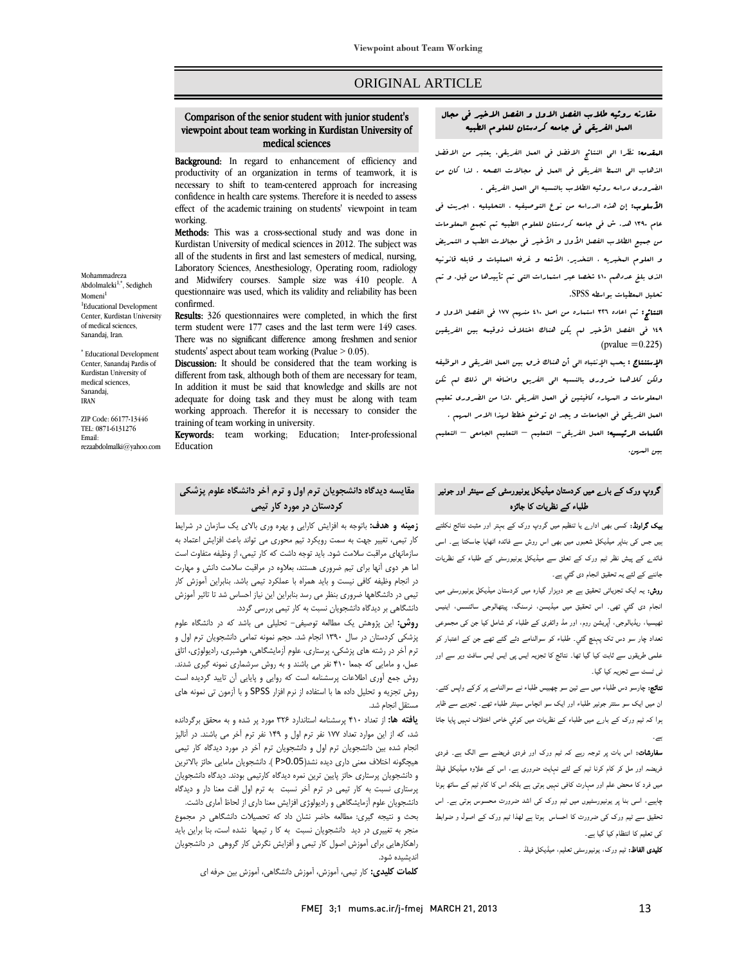**Viewpoint about Team Working**

# ORIGINAL ARTICLE

#### $\overline{a}$ u<br>J viewpoint about team working in Kurdistan University of Comparison of the senior student with junior student's medical sciences

Ī 

Background: In regard to enhancement of efficiency and productivity of an organization in terms of teamwork, it is necessary to shift to team-centered approach for increasing effect of the academic training on students' viewpoint in team working.<br>**Methods:** This was a cross-sectional study and was done in confidence in health care systems. Therefore it is needed to assess working.

 Kurdistan University of medical sciences in 2012. The subject was all of the students in first and last semesters of medical, nursing, Laboratory Sciences, Anesthesiology, Operating room, radiology questionnaire was used, which its validity and reliability has been confirmed.<br>**Results:** 326 questionnaires were completed, in which the first and Midwifery courses. Sample size was 410 people. A confirmed.

 term student were 177 cases and the last term were 149 cases. There was no significant difference among freshmen and senior students' aspect about team working (Pvalue  $> 0.05$ ).

different from task, although both of them are necessary for team, In addition it must be said that knowledge and skills are not working approach. Therefor it is necessary to consider the Discussion: It should be considered that the team working is adequate for doing task and they must be along with team training of team working in university.

**Keywords:** team working; Education; Inter-professional Education

# **مقايسه ديدگاه دانشجويان ترم اول و ترم آخر دانشگاه علوم پزشكي كردستان در مورد كار تيمي**

 **زمينه و هدف:** باتوجه به افزايش كارايي و بهره وري بالاي يك سازمان در شرايط كار تيمي، تغيير جهت به سمت رويكرد تيم محوري مي تواند باعث افزايش اعتماد به سازمانهاي مراقبت سلامت شود. بايد توجه داشت كه كار تيمي، از وظيفه متفاوت است اما هر دوي آنها براي تيم ضروري هستند، بعلاوه در مراقبت سلامت دانش و مهارت تيمي در دانشگاهها ضروري بنظر مي رسد بنابراين اين نياز احساس شد تا تاثير آموزش دانشگاهي بر ديدگاه دانشجويان نسبت به كار تيمي بررسي گردد. در انجام وظيفه كافي نيست و بايد همراه با عملكرد تيمي باشد. بنابراين آموزش كار

 **روش:** اين پژوهش يك مطالعه توصيفي- تحليلي مي باشد كه در دانشگاه علوم پزشكي كردستان در سال 1390 انجام شد. حجم نمونه تمامي دانشجويان ترم اول و ترم آخر در رشته هاي پزشكي، پرستاري، علوم آزمايشگاهي، هوشبري، راديولوژي، اتاق سس و سنتيي - مست مسكس بيست و په روس سرستبري شود.<br>روش جمع آوري اطلاعات پرسشنامه است كه روايي و پايايي آن تاييد گرديده است روش تجزيه و تحليل داده ها با استفاده از نرم افزار SPSS و با آزمون تي نمونه هاي عمل، و مامايي كه جمعا 410 نفر مي باشند و به روش سرشماري نمونه گيري شدند. مستقل انجام شد.

 **يافته ها:** از تعداد 410 پرسشنامه استاندارد 326 مورد پر شده و به محقق برگردانده شد، كه از اين موارد تعداد ۱۷۷ نفر ترم اول و ۱۴۹ نفر ترم آخر مي باشند. در آناليز<br>اسامه باشناس است است با است اطراف است آن باشناس باشناس است است. هيچگونه اختلاف معني داري ديده نشد(0.05<P( . دانشجويان مامايي حائز بالاترين و دانشجويان پرستاري حائز پايين ترين نمره ديدگاه كارتيمي بودند. ديدگاه دانشجويان پرستاري نسبت به كار تيمي در ترم آخر نسبت به ترم اول افت معنا دار و ديدگاه انجام شده بين دانشجويان ترم اول و دانشجويان ترم آخر در مورد ديدگاه كار تيمي

 دانشجويان علوم آزمايشگاهي و راديولوژي افزايش معنا داري از لحاظ آماري داشت. بعت و نتيجه نيرى. مصانعه حاضر نسان داد به تخصيات دانسجاهي در مجموع<br>منجر به تغييري در ديد دانشجويان نسبت به كا ر تيمها نشده است، بنا براين بايد ۲۰۰۰ . . .<br>راهكارهايي براي آموزش اصول كار تيمي و آفزايش نگرش كار گروهي در دانشجويان بحث و نتيجه گيري: مطالعه حاضر نشان داد كه تحصيلات دانشگاهي در مجموع انديشيده شود.

**كلمات كليدي:** كار تيمي، آموزش، آموزش دانشگاهي، آموزش بين حرفه اي

Ī 

 المقدمه: نظرا الي النتائج الافضل في العمل الفريقي، يعتبر من الافضل الذهاب الي النمط الفريقي في العمل في مجالات الصحه . لذا كان من الضروري دراسه روئيه الطلاب بالنسبه الي العمل الفريقي .

**الأسلوب:** إن هذه الدراسه من نوع التوصيفيه ، التحليليه ، اجريت في عام 1390 هد. ش في جامعه كردستان للعلوم الطبيه تم تجمع المعلومات من جميع الطلاب الفصل الأول و الأخير في مجالات الطب و التمريض و العلوم المخبريه ، التخدير، الأشعه و غرفه العمليات و قابله قانونيه الذي بلغ عددهم 410 شخصا عبر استمارات التي تم تأييدها من قبل. و تم تحليل المعطيات بواسطه SPSS.

 النتائج: تم اعاده 326 استماره من اصل 410 منهم 177 في الفصل الاول و 149 في الفصل الأخير لم يكن هناك اختلاف ذوقيمه بين الفريقين  $\text{(pvalue } = 0.225)$ 

.<br>**الإستنتاج :** يحب الإنتباه ال<sub>ى</sub> أن هناك فرق بين العىل الفريق<sub>ى</sub> و الوظيفه وسكن التسبب المدين.<br>ولكن كلاهها ضرورى بالنسبه ال<sub>ى</sub> الفريق واضافه ال<sub>ى</sub> ذلك ل<sub>ى</sub>م تكن المعلومات و المهاره كافيتين في العمل الفريقي .لذا من الضروري تعليم العمل الفريقي في الجامعات و يجد ان توضع خطط لرمذا الامر السرم .<br>. <mark>الكلمات الرئيسيه:</mark> العمل الفريقي<sup>\_</sup> التعليم <sup>—</sup> التعليم الجامعي <sup>—</sup> التعليم بين المهن.

# گروپ ورک کے بارے میں کردستان میڈیکل یونیورسٹی کے سینئر اور جونیر طلباء کے نظریات کا جائزہ

 بیک گراونڈ: کسی بھی ادارے یا تنظیم میں گروپ ورک کے بہتر اور مثبت نتائج نکلتے ہیں جس کی بناپر میڈیکل شعبوں میں بھی اس روش سے فائدہ اٹھایا جاسکتا ہے۔ اسی فائدے کے پیش نظر ٹیم ورک کے تعلق سے میڈیکل یونیورسٹی کے طلباء کے نظریات جاننے کے لئے یہ تحقیق انجام دی گئي ہے۔

 روش: یہ ایک تجزیاتی تحقیق ہے جو دوہزار گيارہ میں کردستان میڈیکل یونیورسٹی میں انجام دی گئي تھی۔ اس تحقیق میں میڈیسن، نرسنگ، پیتھالوجی سائنسس، اینیس تھیسیا، ریڈیالوجی، آپریشن روم، اور مڈ وائفری کے طلباء کو شامل کیا جن کی مجموعی تعداد چار سو دس تک پہنچ گئي۔ طلباء کو سوالنامے دئے گئے تھے جن کے اعتبار کو علمی طریقوں سے ثابت کیا گيا تھا۔ نتائج کا تجزیہ ایس پی ایس ایس سافٹ ویر سے اور ٹی ٹسٹ سے تجزیہ کیا گيا۔

 نتائج: چارسو دس طلباء میں سے تین سو چھبیس طلباء نے سوالنامے پر کرکے واپس کئے۔ ان میں ایک سو ستتر جونير طلباء اور ایک سو انچاس سینئر طلباء تھے۔ تجزیے سے ظاہر ہوا کہ ٹیم ورک کے بارے میں طلباء کے نظریات میں کوئي خاص اختلاف نہیں پایا جاتا ہے۔

 سفارشات: اس بات پر توجہ رہے کہ ٹیم ورک اور فردی فریضے سے الگ ہے۔ فردی فریضہ اور مل کر کام کرنا ٹیم کے لئے نہایت ضروری ہے، اس کے علاوہ میڈیکل فیلڈ میں فرد کا محض علم اور مہارت کافی نہیں ہوتی ہے بلکہ اس کا کام ٹیم کے ساتھ ہونا چاہیے، اسی بنا پر یونیورسٹیوں میں ٹیم ورک کی اشد ضرورت محسوس ہوتی ہے۔ اس تحقیق سے ٹیم ورک کی ضرورت کا احساس ہوتا ہے لھذا ٹیم ورک کے اصول و ضوابط کی تعلیم کا انتظام کیا گيا ہے۔

**کلیدی الفاظ:** ٹیم ورک، یونیورسٹی تعلیم، میڈیکل فیلڈ ۔<br>۔

Mohammadreza Abdolmaleki<sup>1,\*</sup>, Sedigheh Momeni<sup>1</sup> 1 Educational Development Center, Kurdistan University of medical sciences, Sanandaj, Iran.

\* Educational Development Center, Sanandaj Pardis of Kurdistan University of medical sciences, Sanandaj, IRAN

ZIP Code: 66177-13446 TEL: 0871-6131276 Email: rezaabdolmalki@yahoo.com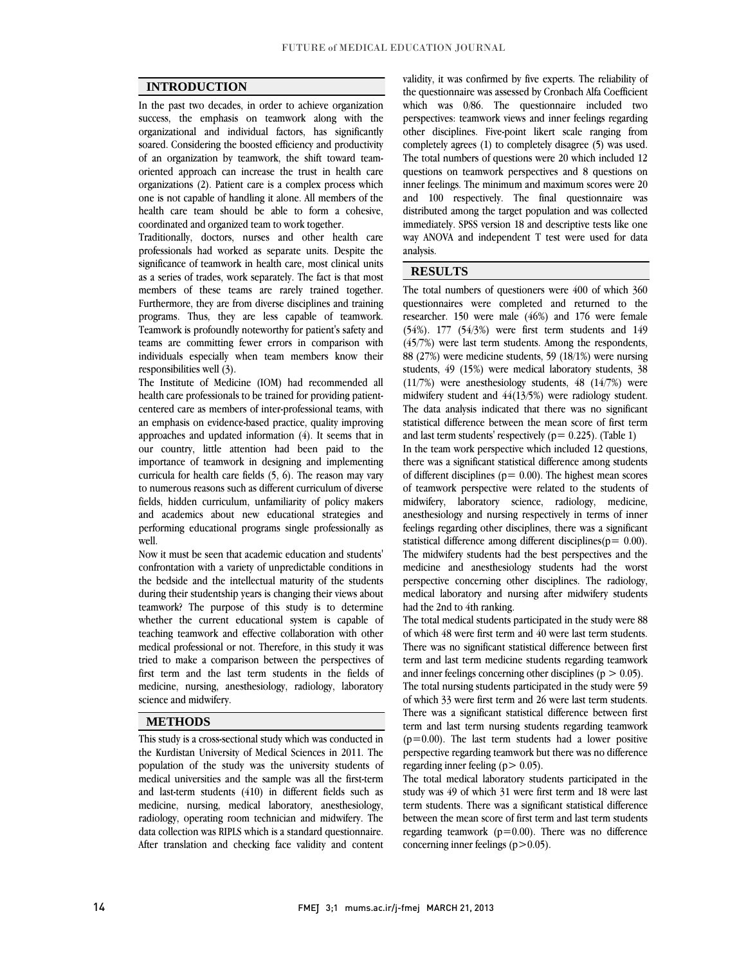$\overline{a}$  $\overline{a}$ 

# **INTRODUCTION**

 In the past two decades, in order to achieve organization success, the emphasis on teamwork along with the soared. Considering the boosted efficiency and productivity of an organization by teamwork, the shift toward team- oriented approach can increase the trust in health care organizations (2). Patient care is a complex process which health care team should be able to form a cohesive, organizational and individual factors, has significantly one is not capable of handling it alone. All members of the coordinated and organized team to work together.

 Traditionally, doctors, nurses and other health care professionals had worked as separate units. Despite the as a series of trades, work separately. The fact is that most members of these teams are rarely trained together. Furthermore, they are from diverse disciplines and training programs. Thus, they are less capable of teamwork.<br>Teamwork is profoundly noteworthy for patient's safety and teams are committing fewer errors in comparison with individuals especially when team members know their significance of teamwork in health care, most clinical units programs. Thus, they are less capable of teamwork. responsibilities well (3).

responsibilities well (3).<br>The Institute of Medicine (IOM) had recommended all health care professionals to be trained for providing patient- centered care as members of inter-professional teams, with an emphasis on evidence-based practice, quality improving approaches and updated information (4). It seems that in importance of teamwork in designing and implementing curricula for health care fields  $(5, 6)$ . The reason may vary to numerous reasons such as different curriculum of diverse fields, hidden curriculum, unfamiliarity of policy makers performing educational programs single professionally as our country, little attention had been paid to the and academics about new educational strategies and well.

 Now it must be seen that academic education and students' confrontation with a variety of unpredictable conditions in during their studentship years is changing their views about teamwork? The purpose of this study is to determine whether the current educational system is capable of medical professional or not. Therefore, in this study it was tried to make a comparison between the perspectives of first term and the last term students in the fields of medicine, nursing, anesthesiology, radiology, laboratory  $\overline{a}$ the bedside and the intellectual maturity of the students teaching teamwork and effective collaboration with other science and midwifery.

### **METHODS**

 This study is a cross-sectional study which was conducted in the Kurdistan University of Medical Sciences in 2011. The medical universities and the sample was all the first-term and last-term students (410) in different fields such as medicine, nursing, medical laboratory, anesthesiology, radiology, operating room technician and midwifery. The After translation and checking face validity and content population of the study was the university students of data collection was RIPLS which is a standard questionnaire.

 the questionnaire was assessed by Cronbach Alfa Coefficient which was 0/86. The questionnaire included two perspectives: teamwork views and inner feelings regarding completely agrees (1) to completely disagree (5) was used. The total numbers of questions were 20 which included 12 questions on teamwork perspectives and 8 questions on inner feelings. The minimum and maximum scores were 20 distributed among the target population and was collected immediately. SPSS version 18 and descriptive tests like one way ANOVA and independent T test were used for data  $\overline{a}$ validity, it was confirmed by five experts. The reliability of other disciplines. Five-point likert scale ranging from and 100 respectively. The final questionnaire was analysis.

## **RESULTS**

 The total numbers of questioners were 400 of which 360 questionnaires were completed and returned to the  $(54\%)$ . 177  $(54/3\%)$  were first term students and 149  $(45/7%)$  were last term students. Among the respondents, 88 (27%) were medicine students, 59 (18/1%) were nursing students, 49 (15%) were medical laboratory students, 38 midwifery student and  $44(13/5%)$  were radiology student. The data analysis indicated that there was no significant statistical difference between the mean score of first term researcher. 150 were male (46%) and 176 were female (11/7%) were anesthesiology students, 48 (14/7%) were and last term students' respectively ( $p= 0.225$ ). (Table 1)

 $\overline{a}$ 

and last term students respectively (p= 0.225). (1able 1)<br>In the team work perspective which included 12 questions, there was a significant statistical difference among students of different disciplines ( $p = 0.00$ ). The highest mean scores of teamwork perspective were related to the students of midwilery, aboratory science, radiology, medicine,<br>anesthesiology and nursing respectively in terms of inner feelings regarding other disciplines, there was a significant statistical difference among different disciplines( $p= 0.00$ ). The midwifery students had the best perspectives and the perspective concerning other disciplines. The radiology,  $\frac{1}{2}$  medical laboratory and nursing after midwifery students midwifery, laboratory science, radiology, medicine, medicine and anesthesiology students had the worst had the 2nd to 4th ranking.

 The total medical students participated in the study were 88 of which 40 were hist term and 40 were fast term students.<br>There was no significant statistical difference between first term and last term medicine students regarding teamwork and inner feelings concerning other disciplines  $(p > 0.05)$ . The total nursing students participated in the study were 59 There was a significant statistical difference between first term and last term nursing students regarding teamwork  $(p=0.00)$ . The last term students had a lower positive perspective regarding teamwork but there was no difference of which 48 were first term and 40 were last term students. of which 33 were first term and 26 were last term students. regarding inner feeling  $(p > 0.05)$ .

 The total medical laboratory students participated in the study was 49 of which 31 were first term and 18 were last term students. There was a significant statistical difference between the mean score of first term and last term students regarding teamwork ( $p=0.00$ ). There was no difference<br>concerning inner feelings ( $p>0.05$ ) concerning inner feelings  $(p>0.05)$ .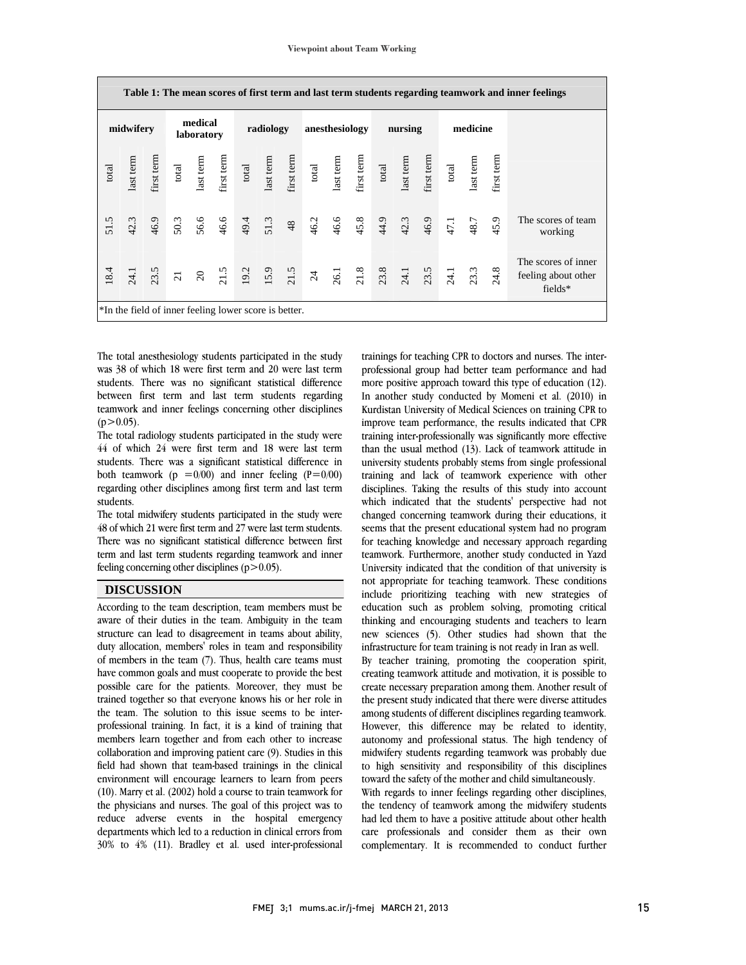|                | Table 1: The mean scores of first term and last term students regarding teamwork and inner feelings |  |                       |  |           |  |  |                |                                                                                                                                                                                                                                                                                               |  |         |  |  |          |  |  |      |                                                         |
|----------------|-----------------------------------------------------------------------------------------------------|--|-----------------------|--|-----------|--|--|----------------|-----------------------------------------------------------------------------------------------------------------------------------------------------------------------------------------------------------------------------------------------------------------------------------------------|--|---------|--|--|----------|--|--|------|---------------------------------------------------------|
|                | midwifery                                                                                           |  | medical<br>laboratory |  | radiology |  |  | anesthesiology |                                                                                                                                                                                                                                                                                               |  | nursing |  |  | medicine |  |  |      |                                                         |
| $_{\rm total}$ |                                                                                                     |  |                       |  |           |  |  |                | last term<br>first term<br>test term<br>test term<br>dast term<br>first term<br>dast term<br>dast term<br>first term<br>dast term<br>dast term<br>dast term<br>dast term<br>dast term<br>dast term<br>dast term<br>dast term<br>dast term<br>dast term<br>dast term<br>dast term<br>dast term |  |         |  |  |          |  |  |      |                                                         |
| 51.5           |                                                                                                     |  |                       |  |           |  |  |                |                                                                                                                                                                                                                                                                                               |  |         |  |  |          |  |  | 45.9 | The scores of team<br>working                           |
| 18.4           |                                                                                                     |  |                       |  |           |  |  |                |                                                                                                                                                                                                                                                                                               |  |         |  |  |          |  |  |      | The scores of inner<br>feeling about other<br>$fields*$ |
|                | *In the field of inner feeling lower score is better.                                               |  |                       |  |           |  |  |                |                                                                                                                                                                                                                                                                                               |  |         |  |  |          |  |  |      |                                                         |

 The total anesthesiology students participated in the study was 38 of which 18 were first term and 20 were last term between first term and last term students regarding teamwork and inner feelings concerning other disciplines students. There was no significant statistical difference  $(p>0.05)$ .

 The total radiology students participated in the study were students. There was a significant statistical difference in both teamwork ( $p = 0/00$ ) and inner feeling ( $P=0/00$ ) regarding other disciplines among first term and last term 44 of which 24 were first term and 18 were last term students.

students.<br>The total midwifery students participated in the study were 48 of which 21 were first term and 27 were last term students. There was no significant statistical difference between first term and last term students regarding teamwork and inner feeling concerning other disciplines  $(p>0.05)$ .

### **DISCUSSION**

 According to the team description, team members must be aware of their duties in the team. Ambiguity in the team duty allocation, members' roles in team and responsibility of members in the team (7). Thus, health care teams must have common goals and must cooperate to provide the best possible care for the patients. Moreover, they must be the team. The solution to this issue seems to be inter- professional training. In fact, it is a kind of training that members learn together and from each other to increase collaboration and improving patient care (9). Studies in this environment will encourage learners to learn from peers (10). Marry et al. (2002) hold a course to train teamwork for the physicians and nurses. The goal of this project was to reduce adverse events in the hospital emergency 30% to 4% (11). Bradley et al. used inter-professional structure can lead to disagreement in teams about ability, trained together so that everyone knows his or her role in field had shown that team-based trainings in the clinical departments which led to a reduction in clinical errors from

 trainings for teaching CPR to doctors and nurses. The inter- professional group had better team performance and had In another study conducted by Momeni et al. (2010) in Kurdistan University of Medical Sciences on training CPR to improve team performance, the results indicated that CPR training inter-professionally was significantly more effective university students probably stems from single professional training and lack of teamwork experience with other disciplines. Taking the results of this study into account which indicated that the students' perspective had not seems that the present educational system had no program for teaching knowledge and necessary approach regarding teamwork. Furthermore, another study conducted in Yazd not appropriate for teaching teamwork. These conditions include prioritizing teaching with new strategies of education such as problem solving, promoting critical thinking and encouraging students and teachers to learn new sciences (5). Other studies had shown that the<br>infrastructure for team training is not ready in Iran as well more positive approach toward this type of education (12). than the usual method (13). Lack of teamwork attitude in changed concerning teamwork during their educations, it University indicated that the condition of that university is infrastructure for team training is not ready in Iran as well.

 By teacher training, promoting the cooperation spirit, creating teamwork attitude and motivation, it is possible to create necessary preparation among them. Another result of among students of different disciplines regarding teamwork. However, this difference may be related to identity, autonomy and professional status. The high tendency of midwifery students regarding teamwork was probably due to high sensitivity and responsibility of this disciplines<br>toward the safety of the mother and child simultaneously the present study indicated that there were diverse attitudes toward the safety of the mother and child simultaneously.

 With regards to inner feelings regarding other disciplines, the tendency of teamwork among the midwifery students had led them to have a positive attitude about other health complementary. It is recommended to conduct further care professionals and consider them as their own